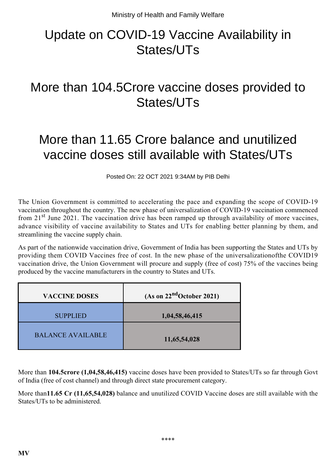## Update on COVID-19 Vaccine Availability in States/UTs

## More than 104.5Crore vaccine doses provided to States/UTs

## More than 11.65 Crore balance and unutilized vaccine doses still available with States/UTs

Posted On: 22 OCT 2021 9:34AM by PIB Delhi

The Union Government is committed to accelerating the pace and expanding the scope of COVID-19 vaccination throughout the country. The new phase of universalization of COVID-19 vaccination commenced from  $21<sup>st</sup>$  June 2021. The vaccination drive has been ramped up through availability of more vaccines, advance visibility of vaccine availability to States and UTs for enabling better planning by them, and streamlining the vaccine supply chain.

As part of the nationwide vaccination drive, Government of India has been supporting the States and UTs by providing them COVID Vaccines free of cost. In the new phase of the universalizationofthe COVID19 vaccination drive, the Union Government will procure and supply (free of cost) 75% of the vaccines being produced by the vaccine manufacturers in the country to States and UTs.

| <b>VACCINE DOSES</b>     | (As on $22ndOctober 2021$ ) |
|--------------------------|-----------------------------|
| <b>SUPPLIED</b>          | 1,04,58,46,415              |
| <b>BALANCE AVAILABLE</b> | 11,65,54,028                |

More than **104.5crore (1,04,58,46,415)** vaccine doses have been provided to States/UTs so far through Govt of India (free of cost channel) and through direct state procurement category.

More than**11.65 Cr (11,65,54,028)** balance and unutilized COVID Vaccine doses are still available with the States/UTs to be administered.